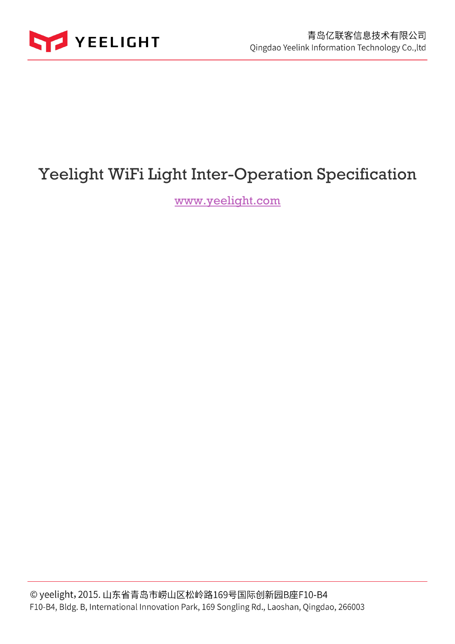

# Yeelight WiFi Light Inter-Operation Specification

www.yeelight.com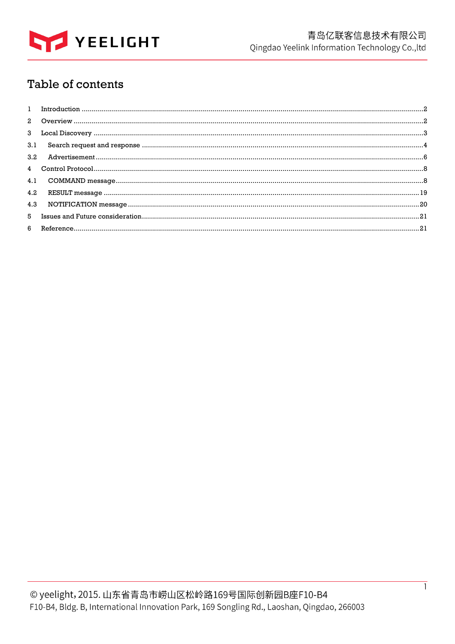

## Table of contents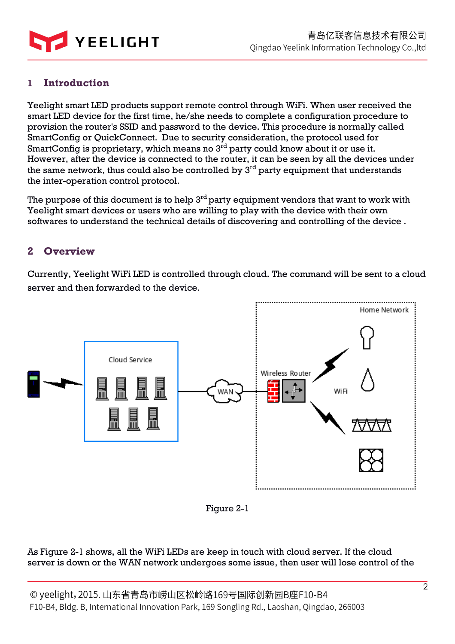

## **1 Introduction**

Yeelight smart LED products support remote control through WiFi. When user received the smart LED device for the first time, he/she needs to complete a configuration procedure to provision the router's SSID and password to the device. This procedure is normally called SmartConfig or QuickConnect. Due to security consideration, the protocol used for SmartConfig is proprietary, which means no 3<sup>rd</sup> party could know about it or use it. However, after the device is connected to the router, it can be seen by all the devices under the same network, thus could also be controlled by  $3<sup>rd</sup>$  party equipment that understands the inter-operation control protocol.

The purpose of this document is to help  $3<sup>rd</sup>$  party equipment vendors that want to work with Yeelight smart devices or users who are willing to play with the device with their own softwares to understand the technical details of discovering and controlling of the device .

## **2 Overview**

Currently, Yeelight WiFi LED is controlled through cloud. The command will be sent to a cloud server and then forwarded to the device.



Figure 2-1

#### As Figure 2-1 shows, all the WiFi LEDs are keep in touch with cloud server. If the cloud server is down or the WAN network undergoes some issue, then user will lose control of the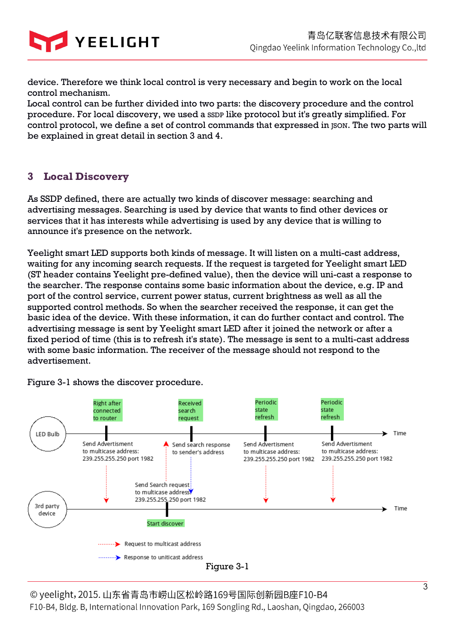

device. Therefore we think local control is very necessary and begin to work on the local control mechanism.

Local control can be further divided into two parts: the discovery procedure and the control procedure. For local discovery, we used a SSDP like protocol but it's greatly simplified. For control protocol, we define a set of control commands that expressed in  $\text{ISON}$ . The two parts will be explained in great detail in section 3 and 4.

## **3 Local Discovery**

As SSDP defined, there are actually two kinds of discover message: searching and advertising messages. Searching is used by device that wants to find other devices or services that it has interests while advertising is used by any device that is willing to announce it's presence on the network.

Yeelight smart LED supports both kinds of message. It will listen on a multi-cast address, waiting for any incoming search requests. If the request is targeted for Yeelight smart LED (ST header contains Yeelight pre-defined value), then the device will uni-cast a response to the searcher. The response contains some basic information about the device, e.g. IP and port of the control service, current power status, current brightness as well as all the supported control methods. So when the searcher received the response, it can get the basic idea of the device. With these information, it can do further contact and control. The advertising message is sent by Yeelight smart LED after it joined the network or after a fixed period of time (this is to refresh it's state). The message is sent to a multi-cast address with some basic information. The receiver of the message should not respond to the advertisement.



Figure 3-1 shows the discover procedure.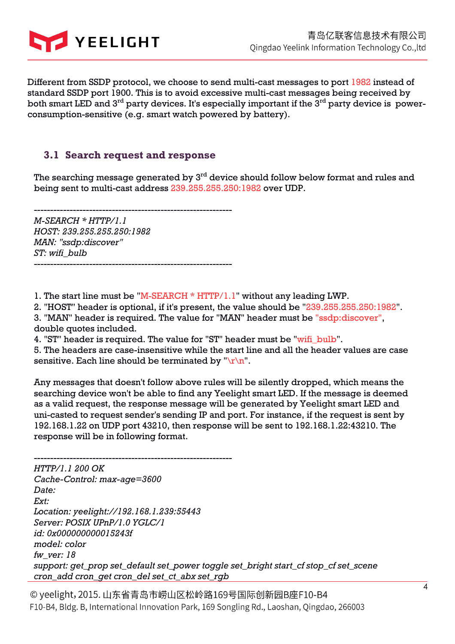

Different from SSDP protocol, we choose to send multi-cast messages to port 1982 instead of standard SSDP port 1900. This is to avoid excessive multi-cast messages being received by both smart LED and  $3^{rd}$  party devices. It's especially important if the  $3^{rd}$  party device is powerconsumption-sensitive (e.g. smart watch powered by battery).

## **3.1 Search request and response**

The searching message generated by 3<sup>rd</sup> device should follow below format and rules and being sent to multi-cast address 239.255.255.250:1982 over UDP.

------------------------------------------------------------- *M-SEARCH \* HTTP/1.1 HOST: 239.255.255.250:1982*

*MAN: "ssdp:discover" ST: wifi\_bulb*  -------------------------------------------------------------

1. The start line must be "M-SEARCH \* HTTP/1.1" without any leading LWP.

2. "HOST" header is optional, if it's present, the value should be "239.255.255.250:1982".

3. "MAN" header is required. The value for "MAN" header must be "ssdp:discover", double quotes included.

4. "ST" header is required. The value for "ST" header must be "wifi\_bulb".

5. The headers are case-insensitive while the start line and all the header values are case sensitive. Each line should be terminated by " $\lceil r \rceil$ ".

Any messages that doesn't follow above rules will be silently dropped, which means the searching device won't be able to find any Yeelight smart LED. If the message is deemed as a valid request, the response message will be generated by Yeelight smart LED and uni-casted to request sender's sending IP and port. For instance, if the request is sent by 192.168.1.22 on UDP port 43210, then response will be sent to 192.168.1.22:43210. The response will be in following format.

------------------------------------------------------------- *HTTP/1.1 200 OK Cache-Control: max-age=3600 Date: Ext: Location: yeelight://192.168.1.239:55443 Server: POSIX UPnP/1.0 YGLC/1 id: 0x000000000015243f model: color fw\_ver: 18 support: get\_prop set\_default set\_power toggle set\_bright start\_cf stop\_cf set\_scene cron\_add cron\_get cron\_del set\_ct\_abx set\_rgb*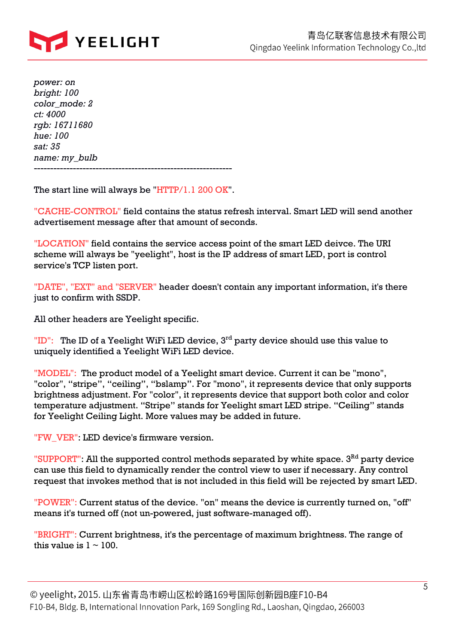

*power: on bright: 100 color\_mode: 2 ct: 4000 rgb: 16711680 hue: 100 sat: 35 name: my\_bulb* -------------------------------------------------------------

The start line will always be "HTTP/1.1 200 OK".

"CACHE-CONTROL" field contains the status refresh interval. Smart LED will send another advertisement message after that amount of seconds.

"LOCATION" field contains the service access point of the smart LED deivce. The URI scheme will always be "yeelight", host is the IP address of smart LED, port is control service's TCP listen port.

"DATE", "EXT" and "SERVER" header doesn't contain any important information, it's there just to confirm with SSDP.

All other headers are Yeelight specific.

"ID": The ID of a Yeelight WiFi LED device,  $3<sup>rd</sup>$  party device should use this value to uniquely identified a Yeelight WiFi LED device.

"MODEL": The product model of a Yeelight smart device. Current it can be "mono", "color", "stripe", "ceiling", "bslamp". For "mono", it represents device that only supports brightness adjustment. For "color", it represents device that support both color and color temperature adjustment. "Stripe" stands for Yeelight smart LED stripe. "Ceiling" stands for Yeelight Ceiling Light. More values may be added in future.

"FW\_VER": LED device's firmware version.

"SUPPORT": All the supported control methods separated by white space.  $3<sup>RA</sup>$  party device can use this field to dynamically render the control view to user if necessary. Any control request that invokes method that is not included in this field will be rejected by smart LED.

"POWER": Current status of the device. "on" means the device is currently turned on, "off" means it's turned off (not un-powered, just software-managed off).

"BRIGHT": Current brightness, it's the percentage of maximum brightness. The range of this value is  $1 \sim 100$ .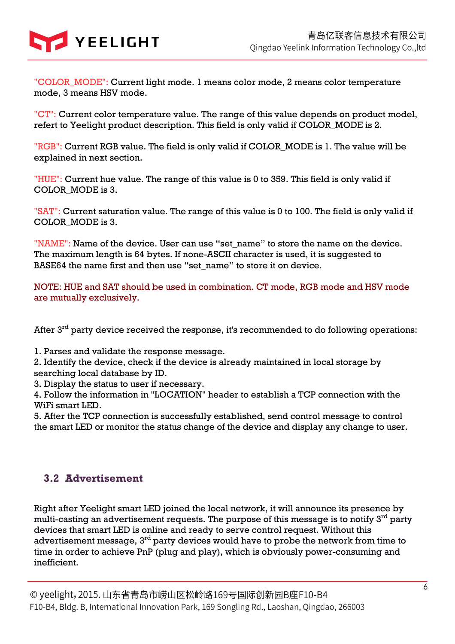

"COLOR\_MODE": Current light mode. 1 means color mode, 2 means color temperature mode, 3 means HSV mode.

"CT": Current color temperature value. The range of this value depends on product model, refert to Yeelight product description. This field is only valid if COLOR\_MODE is 2.

"RGB": Current RGB value. The field is only valid if COLOR\_MODE is 1. The value will be explained in next section.

"HUE": Current hue value. The range of this value is 0 to 359. This field is only valid if COLOR\_MODE is 3.

"SAT": Current saturation value. The range of this value is 0 to 100. The field is only valid if COLOR\_MODE is 3.

"NAME": Name of the device. User can use "set\_name" to store the name on the device. The maximum length is 64 bytes. If none-ASCII character is used, it is suggested to BASE64 the name first and then use "set\_name" to store it on device.

NOTE: HUE and SAT should be used in combination. CT mode, RGB mode and HSV mode are mutually exclusively.

After  $3<sup>rd</sup>$  party device received the response, it's recommended to do following operations:

1. Parses and validate the response message.

2. Identify the device, check if the device is already maintained in local storage by searching local database by ID.

3. Display the status to user if necessary.

4. Follow the information in "LOCATION" header to establish a TCP connection with the WiFi smart LED.

5. After the TCP connection is successfully established, send control message to control the smart LED or monitor the status change of the device and display any change to user.

## **3.2 Advertisement**

Right after Yeelight smart LED joined the local network, it will announce its presence by multi-casting an advertisement requests. The purpose of this message is to notify 3<sup>rd</sup> party devices that smart LED is online and ready to serve control request. Without this advertisement message, 3rd party devices would have to probe the network from time to time in order to achieve PnP (plug and play), which is obviously power-consuming and inefficient.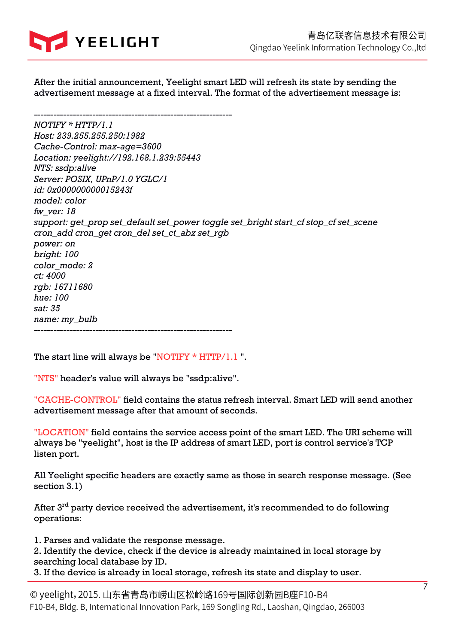

After the initial announcement, Yeelight smart LED will refresh its state by sending the advertisement message at a fixed interval. The format of the advertisement message is:

------------------------------------------------------------- *NOTIFY \* HTTP/1.1 Host: 239.255.255.250:1982 Cache-Control: max-age=3600 Location: yeelight://192.168.1.239:55443 NTS: ssdp:alive Server: POSIX, UPnP/1.0 YGLC/1 id: 0x000000000015243f model: color fw\_ver: 18 support: get\_prop set\_default set\_power toggle set\_bright start\_cf stop\_cf set\_scene cron\_add cron\_get cron\_del set\_ct\_abx set\_rgb power: on bright: 100 color\_mode: 2 ct: 4000 rgb: 16711680 hue: 100 sat: 35 name: my\_bulb* -------------------------------------------------------------

The start line will always be "NOTIFY \* HTTP/1.1".

"NTS" header's value will always be "ssdp:alive".

"CACHE-CONTROL" field contains the status refresh interval. Smart LED will send another advertisement message after that amount of seconds.

"LOCATION" field contains the service access point of the smart LED. The URI scheme will always be "yeelight", host is the IP address of smart LED, port is control service's TCP listen port.

All Yeelight specific headers are exactly same as those in search response message. (See section 3.1)

After  $3<sup>rd</sup>$  party device received the advertisement, it's recommended to do following operations:

1. Parses and validate the response message.

2. Identify the device, check if the device is already maintained in local storage by searching local database by ID.

3. If the device is already in local storage, refresh its state and display to user.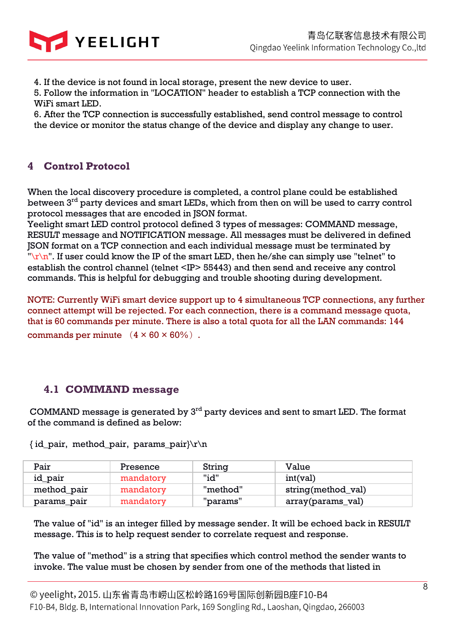

4. If the device is not found in local storage, present the new device to user.

5. Follow the information in "LOCATION" header to establish a TCP connection with the WiFi smart LED.

6. After the TCP connection is successfully established, send control message to control the device or monitor the status change of the device and display any change to user.

## **4 Control Protocol**

When the local discovery procedure is completed, a control plane could be established between  $3<sup>rd</sup>$  party devices and smart LEDs, which from then on will be used to carry control protocol messages that are encoded in JSON format.

Yeelight smart LED control protocol defined 3 types of messages: COMMAND message, RESULT message and NOTIFICATION message. All messages must be delivered in defined JSON format on a TCP connection and each individual message must be terminated by " $\ln$ ". If user could know the IP of the smart LED, then he/she can simply use "telnet" to establish the control channel (telnet <IP> 55443) and then send and receive any control commands. This is helpful for debugging and trouble shooting during development.

NOTE: Currently WiFi smart device support up to 4 simultaneous TCP connections, any further connect attempt will be rejected. For each connection, there is a command message quota, that is 60 commands per minute. There is also a total quota for all the LAN commands: 144 commands per minute  $(4 \times 60 \times 60\%)$ .

## **4.1 COMMAND message**

COMMAND message is generated by 3rd party devices and sent to smart LED. The format of the command is defined as below:

| Pair        | Presence  | String   | Value              |
|-------------|-----------|----------|--------------------|
| id_pair     | mandatory | "id"     | int(val)           |
| method_pair | mandatory | "method" | string(method_val) |
| params_pair | mandatory | "params" | array(params_val)  |

{ id\_pair, method\_pair, params\_pair}\r\n

The value of "id" is an integer filled by message sender. It will be echoed back in RESULT message. This is to help request sender to correlate request and response.

The value of "method" is a string that specifies which control method the sender wants to invoke. The value must be chosen by sender from one of the methods that listed in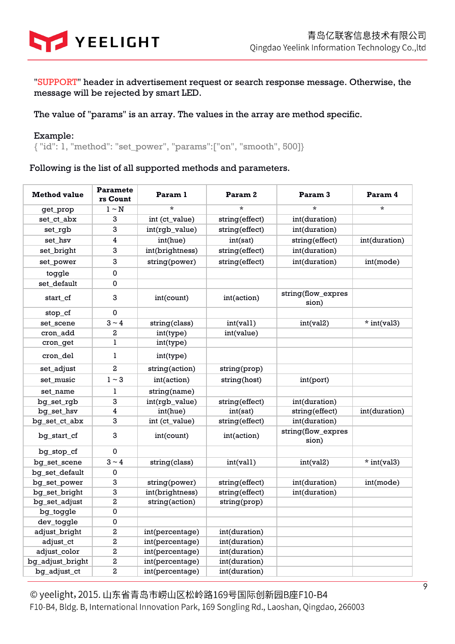

"SUPPORT" header in advertisement request or search response message. Otherwise, the message will be rejected by smart LED.

#### The value of "params" is an array. The values in the array are method specific.

#### Example:

{ "id": 1, "method": "set\_power", "params":["on", "smooth", 500]}

#### Following is the list of all supported methods and parameters.

| <b>Method value</b> | <b>Paramete</b><br>rs Count | Param 1         | Param <sub>2</sub> | Param <sub>3</sub>          | Param 4       |
|---------------------|-----------------------------|-----------------|--------------------|-----------------------------|---------------|
| get_prop            | $1 \sim N$                  | $\star$         | $\star$            | $\star$                     | $\star$       |
| set_ct_abx          | 3                           | int (ct_value)  | string(effect)     | int(duration)               |               |
| set rgb             | 3                           | int(rgb_value)  | string(effect)     | int(duration)               |               |
| set hsv             | 4                           | int(hue)        | int(sat)           | string(effect)              | int(duration) |
| set_bright          | 3                           | int(brightness) | string(effect)     | int(duration)               |               |
| set power           | 3                           | string(power)   | string(effect)     | int(duration)               | int(mode)     |
| toggle              | $\pmb{0}$                   |                 |                    |                             |               |
| set_default         | 0                           |                 |                    |                             |               |
| start cf            | 3                           | int(count)      | int(action)        | string(flow_expres<br>sion) |               |
| stop_cf             | 0                           |                 |                    |                             |               |
| set_scene           | $3 \sim 4$                  | string(class)   | int(vall)          | int(val2)                   | $*$ int(val3) |
| cron_add            | 2                           | int(type)       | int(value)         |                             |               |
| cron_get            | 1                           | int(type)       |                    |                             |               |
| cron_del            | 1                           | int(type)       |                    |                             |               |
| set_adjust          | 2                           | string(action)  | string(prop)       |                             |               |
| set music           | $1 \sim 3$                  | int(action)     | string(host)       | int(port)                   |               |
| set name            | 1                           | string(name)    |                    |                             |               |
| bg_set_rgb          | 3                           | int(rgb_value)  | string(effect)     | int(duration)               |               |
| bg_set_hsv          | 4                           | int(hue)        | int(sat)           | string(effect)              | int(duration) |
| bg_set_ct_abx       | 3                           | int (ct_value)  | string(effect)     | int(duration)               |               |
| bg start cf         | 3                           | int(count)      | int(action)        | string(flow_expres<br>sion) |               |
| bg_stop_cf          | $\mathbf 0$                 |                 |                    |                             |               |
| bg set scene        | $3 \sim 4$                  | string(class)   | int(vall)          | int(val2)                   | $*$ int(val3) |
| bq_set_default      | 0                           |                 |                    |                             |               |
| bg_set_power        | 3                           | string(power)   | string(effect)     | int(duration)               | int(mode)     |
| bg_set_bright       | 3                           | int(brightness) | string(effect)     | int(duration)               |               |
| bg_set_adjust       | 2                           | string(action)  | string(prop)       |                             |               |
| bg_toggle           | 0                           |                 |                    |                             |               |
| dev_toggle          | 0                           |                 |                    |                             |               |
| adjust_bright       | 2                           | int(percentage) | int(duration)      |                             |               |
| adjust_ct           | 2                           | int(percentage) | int(duration)      |                             |               |
| adjust_color        | 2                           | int(percentage) | int(duration)      |                             |               |
| bg_adjust_bright    | 2                           | int(percentage) | int(duration)      |                             |               |
| bg_adjust_ct        | 2                           | int(percentage) | int(duration)      |                             |               |

© yeelight, 2015. 山东省青岛市崂山区松岭路169号国际创新园B座F10-B4 F10-B4, Bldg. B, International Innovation Park, 169 Songling Rd., Laoshan, Qingdao, 266003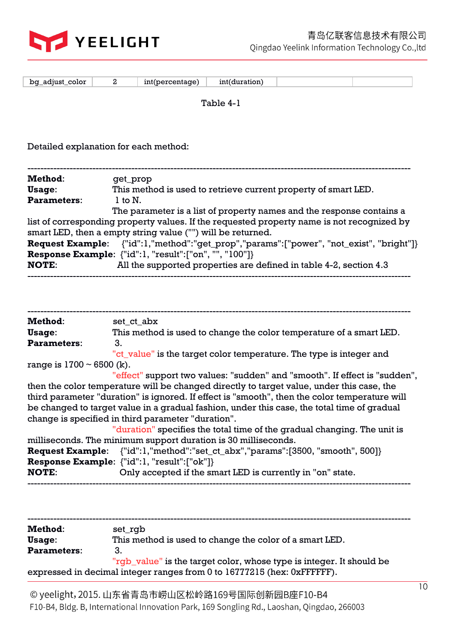

| bq_adjust_color                                                                            | 2            | int(percentage) | int(duration) |                                                                       |  |
|--------------------------------------------------------------------------------------------|--------------|-----------------|---------------|-----------------------------------------------------------------------|--|
|                                                                                            |              |                 | Table 4-1     |                                                                       |  |
|                                                                                            |              |                 |               |                                                                       |  |
|                                                                                            |              |                 |               |                                                                       |  |
| Detailed explanation for each method:                                                      |              |                 |               |                                                                       |  |
|                                                                                            |              |                 |               |                                                                       |  |
| Method:                                                                                    | get_prop     |                 |               |                                                                       |  |
| Usage:                                                                                     |              |                 |               | This method is used to retrieve current property of smart LED.        |  |
| <b>Parameters:</b>                                                                         | $1$ to $N$ . |                 |               |                                                                       |  |
|                                                                                            |              |                 |               | The parameter is a list of property names and the response contains a |  |
| list of corresponding property values. If the requested property name is not recognized by |              |                 |               |                                                                       |  |
| smart LED, then a empty string value ("") will be returned.                                |              |                 |               |                                                                       |  |
|                                                                                            |              |                 |               |                                                                       |  |

|              | <b>Request Example:</b> {"id":1,"method":"get_prop","params":["power", "not_exist", "bright"]} |
|--------------|------------------------------------------------------------------------------------------------|
|              | <b>Response Example:</b> $\{ "id": 1, "result": [ "on", "", "100"] \}$                         |
| <b>NOTE:</b> | All the supported properties are defined in table 4-2, section 4.3                             |

| Method:                        | set ct abx                                                                                    |
|--------------------------------|-----------------------------------------------------------------------------------------------|
| Usage:                         | This method is used to change the color temperature of a smart LED.                           |
| <b>Parameters:</b>             | 3.                                                                                            |
|                                | "ct_value" is the target color temperature. The type is integer and                           |
| range is $1700 \sim 6500$ (k). |                                                                                               |
|                                | "effect" support two values: "sudden" and "smooth". If effect is "sudden",                    |
|                                | then the color temperature will be changed directly to target value, under this case, the     |
|                                | third parameter "duration" is ignored. If effect is "smooth", then the color temperature will |
|                                | be changed to target value in a gradual fashion, under this case, the total time of gradual   |
|                                | change is specified in third parameter "duration".                                            |
|                                | "duration" specifies the total time of the gradual changing. The unit is                      |
|                                | milliseconds. The minimum support duration is 30 milliseconds.                                |
|                                | <b>Request Example:</b> {"id":1,"method":"set_ct_abx","params":[3500, "smooth", 500]}         |

|              | <b>Request Example:</b> {"id":1,"method":"set_ct_abx","params":[3500, "smooth", 500]} |
|--------------|---------------------------------------------------------------------------------------|
|              | <b>Response Example:</b> $\{``id":l, "result":[''ok"]\}$                              |
| <b>NOTE:</b> | Only accepted if the smart LED is currently in "on" state.                            |
|              |                                                                                       |

| <b>Method:</b>     | set_rgb                                                                 |
|--------------------|-------------------------------------------------------------------------|
| Usage:             | This method is used to change the color of a smart LED.                 |
| <b>Parameters:</b> |                                                                         |
|                    | "rgb_value" is the target color, whose type is integer. It should be    |
|                    | expressed in decimal integer ranges from 0 to 16777215 (hex: 0xFFFFFF). |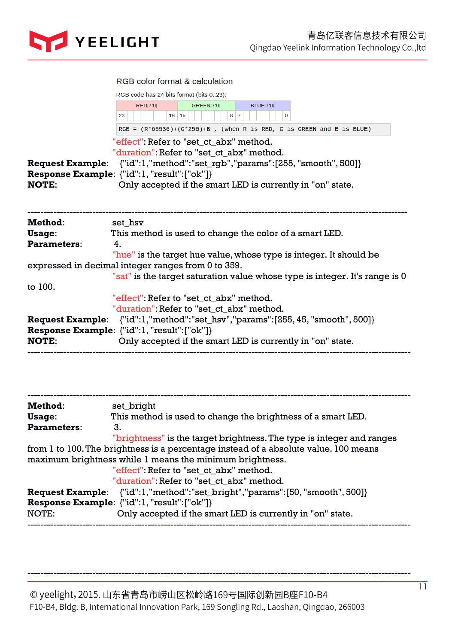

|                                         | <b>RGB color format &amp; calculation</b><br>RGB code has 24 bits format (bits 023):                                                                                                                                                                                         |  |  |  |  |
|-----------------------------------------|------------------------------------------------------------------------------------------------------------------------------------------------------------------------------------------------------------------------------------------------------------------------------|--|--|--|--|
|                                         |                                                                                                                                                                                                                                                                              |  |  |  |  |
|                                         | <b>RED[7:0]</b><br><b>GREEN[7:0]</b><br><b>BLUE[7:0]</b><br>16 15<br>$8 \overline{7}$<br>23<br>$\Omega$                                                                                                                                                                      |  |  |  |  |
|                                         | $RGB = (R*65536)+(G*256)+B$ , (when R is RED, G is GREEN and B is BLUE)                                                                                                                                                                                                      |  |  |  |  |
| <b>Request Example:</b><br><b>NOTE:</b> | "effect": Refer to "set_ct_abx" method.<br>"duration" Refer to "set_ct_abx" method.<br>${''id":}1, "method":"set_rgb", "params":[255, "smooth", 500]\}$<br><b>Response Example:</b> {"id":1, "result": ["ok"]}<br>Only accepted if the smart LED is currently in "on" state. |  |  |  |  |
| Method:                                 | set_hsv                                                                                                                                                                                                                                                                      |  |  |  |  |
| Usage:                                  | This method is used to change the color of a smart LED.                                                                                                                                                                                                                      |  |  |  |  |
| Parameters:                             | $\overline{4}$ .                                                                                                                                                                                                                                                             |  |  |  |  |
|                                         | "hue" is the target hue value, whose type is integer. It should be                                                                                                                                                                                                           |  |  |  |  |
|                                         | expressed in decimal integer ranges from 0 to 359.                                                                                                                                                                                                                           |  |  |  |  |
|                                         | "sat" is the target saturation value whose type is integer. It's range is 0                                                                                                                                                                                                  |  |  |  |  |
| to 100.                                 |                                                                                                                                                                                                                                                                              |  |  |  |  |
|                                         | "effect": Refer to "set ct abx" method.                                                                                                                                                                                                                                      |  |  |  |  |
|                                         | "duration" Refer to "set ct abx" method.                                                                                                                                                                                                                                     |  |  |  |  |
| <b>Request Example:</b>                 | ${''id":}1, "method":"set_hsv", "params":[255, 45, "smooth", 500]\}$                                                                                                                                                                                                         |  |  |  |  |
|                                         | Response Example: {"id":1, "result":["ok"]}                                                                                                                                                                                                                                  |  |  |  |  |
| <b>NOTE:</b>                            | Only accepted if the smart LED is currently in "on" state.                                                                                                                                                                                                                   |  |  |  |  |

| Method:            | set_bright                                                                           |
|--------------------|--------------------------------------------------------------------------------------|
| Usage:             | This method is used to change the brightness of a smart LED.                         |
| <b>Parameters:</b> | 3.                                                                                   |
|                    | "brightness" is the target brightness. The type is integer and ranges                |
|                    | from 1 to 100. The brightness is a percentage instead of a absolute value. 100 means |
|                    | maximum brightness while 1 means the minimum brightness.                             |
|                    | "effect": Refer to "set ct abx" method.                                              |
|                    | "duration" Refer to "set ct abx" method.                                             |
|                    | <b>Request Example:</b> {"id":1,"method":"set_bright","params":[50,"smooth", 500]}   |
|                    | <b>Response Example:</b> {"id":1, "result": ["ok"]}                                  |
| NOTE:              | Only accepted if the smart LED is currently in "on" state.                           |
|                    |                                                                                      |

© yeelight, 2015. 山东省青岛市崂山区松岭路169号国际创新园B座F10-B4 F10-B4, Bldg. B, International Innovation Park, 169 Songling Rd., Laoshan, Qingdao, 266003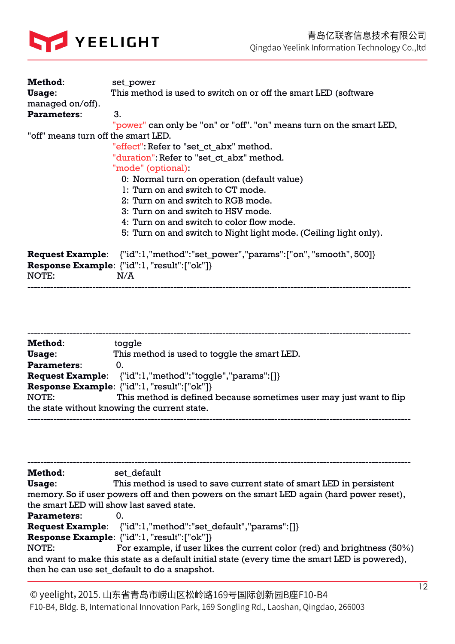

| Method:                             | set_power                                                                            |  |  |  |
|-------------------------------------|--------------------------------------------------------------------------------------|--|--|--|
| Usage:                              | This method is used to switch on or off the smart LED (software                      |  |  |  |
| managed on/off).                    |                                                                                      |  |  |  |
| <b>Parameters:</b>                  | 3.                                                                                   |  |  |  |
|                                     | "power" can only be "on" or "off". "on" means turn on the smart LED,                 |  |  |  |
| "off" means turn off the smart LED. |                                                                                      |  |  |  |
|                                     | "effect": Refer to "set_ct_abx" method.                                              |  |  |  |
|                                     | "duration" Refer to "set_ct_abx" method.                                             |  |  |  |
|                                     | "mode" (optional)                                                                    |  |  |  |
|                                     | 0: Normal turn on operation (default value)                                          |  |  |  |
|                                     | 1: Turn on and switch to CT mode.                                                    |  |  |  |
|                                     | 2: Turn on and switch to RGB mode.                                                   |  |  |  |
|                                     | 3: Turn on and switch to HSV mode.                                                   |  |  |  |
|                                     | 4. Turn on and switch to color flow mode.                                            |  |  |  |
|                                     | 5: Turn on and switch to Night light mode. (Ceiling light only).                     |  |  |  |
|                                     | <b>Request Example:</b> {"id":1,"method":"set_power","params":["on", "smooth", 500]} |  |  |  |
|                                     | <b>Response Example:</b> {"id":1, "result":["ok"]}                                   |  |  |  |
| NOTE:                               | N/A                                                                                  |  |  |  |

| Method:            | toggle                                                              |
|--------------------|---------------------------------------------------------------------|
| Usage:             | This method is used to toggle the smart LED.                        |
| <b>Parameters:</b> | 0.                                                                  |
|                    | <b>Request Example:</b> {"id":1,"method":"toggle","params":[]}      |
|                    | <b>Response Example:</b> {"id":1, "result":["ok"]}                  |
| NOTE:              | This method is defined because sometimes user may just want to flip |
|                    | the state without knowing the current state.                        |
|                    |                                                                     |

----------------------------------------------------------------------------------------------------------------------

---------------------------------------------------------------------------------------------------------------------- **Method**: set\_default **Usage**: This method is used to save current state of smart LED in persistent memory. So if user powers off and then powers on the smart LED again (hard power reset), the smart LED will show last saved state. **Parameters**: 0. **Request Example**: {"id":1,"method":"set\_default","params":[]} **Response Example**: {"id":1, "result":["ok"]} NOTE: For example, if user likes the current color (red) and brightness (50%) and want to make this state as a default initial state (every time the smart LED is powered), then he can use set\_default to do a snapshot.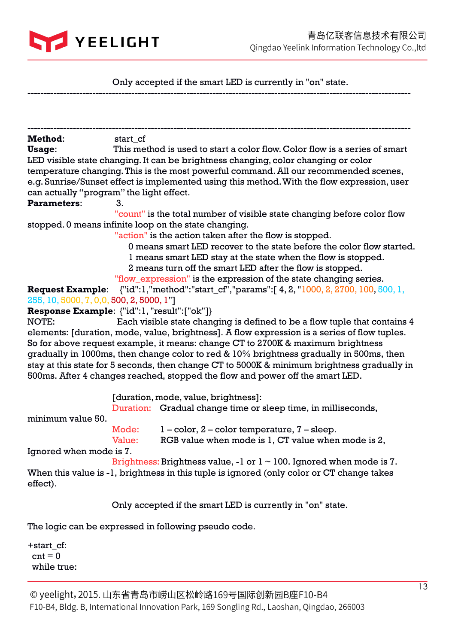

Only accepted if the smart LED is currently in "on" state.

| Method:                                            | start_cf |                                                                                                      |
|----------------------------------------------------|----------|------------------------------------------------------------------------------------------------------|
| Usage:                                             |          | This method is used to start a color flow. Color flow is a series of smart                           |
|                                                    |          | LED visible state changing. It can be brightness changing, color changing or color                   |
|                                                    |          | temperature changing. This is the most powerful command. All our recommended scenes,                 |
|                                                    |          | e.g. Sunrise/Sunset effect is implemented using this method. With the flow expression, user          |
| can actually "program" the light effect.           |          |                                                                                                      |
| <b>Parameters:</b>                                 | 3.       |                                                                                                      |
|                                                    |          | "count" is the total number of visible state changing before color flow                              |
|                                                    |          | stopped. 0 means infinite loop on the state changing.                                                |
|                                                    |          | "action" is the action taken after the flow is stopped.                                              |
|                                                    |          | 0 means smart LED recover to the state before the color flow started.                                |
|                                                    |          | I means smart LED stay at the state when the flow is stopped.                                        |
|                                                    |          | 2 means turn off the smart LED after the flow is stopped.                                            |
|                                                    |          | "flow_expression" is the expression of the state changing series.                                    |
|                                                    |          |                                                                                                      |
|                                                    |          | <b>Request Example:</b> $\{$ "id":1,"method":"start_cf","params":[4, 2, "1000, 2, 2700, 100, 500, 1, |
| 255, 10, 5000, 7, 0,0, 500, 2, 5000, 1"]           |          |                                                                                                      |
| <b>Response Example:</b> {"id":1, "result":["ok"]} |          |                                                                                                      |
| NOTE:                                              |          | Each visible state changing is defined to be a flow tuple that contains 4                            |
|                                                    |          | elements: [duration, mode, value, brightness]. A flow expression is a series of flow tuples.         |
|                                                    |          | So for above request example, it means: change CT to 2700K & maximum brightness                      |
|                                                    |          | gradually in 1000ms, then change color to red & 10% brightness gradually in 500ms, then              |
|                                                    |          | stay at this state for 5 seconds, then change CT to 5000K & minimum brightness gradually in          |
|                                                    |          | 500ms. After 4 changes reached, stopped the flow and power off the smart LED.                        |
|                                                    |          | [duration, mode, value, brightness]:                                                                 |
|                                                    |          | Duration: Gradual change time or sleep time, in milliseconds,                                        |
| minimum value 50.                                  |          |                                                                                                      |
|                                                    |          |                                                                                                      |
|                                                    | Mode:    | $1$ – color, $2$ – color temperature, $7$ – sleep.                                                   |
|                                                    | Value:   | RGB value when mode is 1, CT value when mode is 2,                                                   |
| Ignored when mode is 7.                            |          |                                                                                                      |
|                                                    |          | Brightness: Brightness value, -1 or $1 \sim 100$ . Ignored when mode is 7.                           |
|                                                    |          | When this value is -1, brightness in this tuple is ignored (only color or CT change takes            |
| effect).                                           |          |                                                                                                      |
|                                                    |          |                                                                                                      |
|                                                    |          | Only accepted if the smart LED is currently in "on" state.                                           |
|                                                    |          | The logic can be expressed in following pseudo code.                                                 |
| +start_cf:                                         |          |                                                                                                      |
| $cnt = 0$                                          |          |                                                                                                      |
|                                                    |          |                                                                                                      |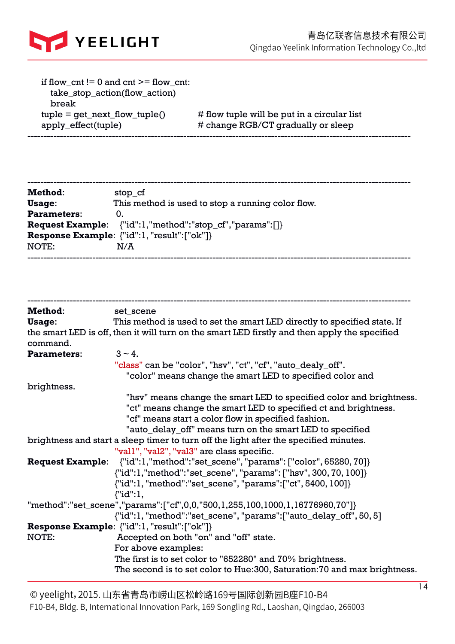

| if flow $cnt != 0$ and $cnt >=$ flow $cnt:$<br>take_stop_action(flow_action)<br>break |                                                                                   |
|---------------------------------------------------------------------------------------|-----------------------------------------------------------------------------------|
| $tuple = get\_next_flow_tuple()$<br>apply_effect(tuple)                               | # flow tuple will be put in a circular list<br># change RGB/CT gradually or sleep |
|                                                                                       |                                                                                   |

| Method:            | stop_cf                                                                       |
|--------------------|-------------------------------------------------------------------------------|
| Usage:             | This method is used to stop a running color flow.                             |
| <b>Parameters:</b> | 0.                                                                            |
|                    | <b>Request Example:</b> {"id":1,"method":"stop_cf","params":[]}               |
|                    | <b>Response Example:</b> $\{\text{"id":} 1, \text{"result":} [\text{"ok"]}\}$ |
| NOTE:              | N/A                                                                           |
|                    |                                                                               |

| <b>Method:</b>     | set_scene                                                                                                                                                                                                                                                                                                                                                                                                                                                                                                                                                                                                                   |
|--------------------|-----------------------------------------------------------------------------------------------------------------------------------------------------------------------------------------------------------------------------------------------------------------------------------------------------------------------------------------------------------------------------------------------------------------------------------------------------------------------------------------------------------------------------------------------------------------------------------------------------------------------------|
| Usage:             | This method is used to set the smart LED directly to specified state. If                                                                                                                                                                                                                                                                                                                                                                                                                                                                                                                                                    |
| command.           | the smart LED is off, then it will turn on the smart LED firstly and then apply the specified                                                                                                                                                                                                                                                                                                                                                                                                                                                                                                                               |
| <b>Parameters:</b> | $3 - 4$ .                                                                                                                                                                                                                                                                                                                                                                                                                                                                                                                                                                                                                   |
|                    | "class" can be "color", "hsv", "ct", "cf", "auto_dealy_off".                                                                                                                                                                                                                                                                                                                                                                                                                                                                                                                                                                |
|                    | "color" means change the smart LED to specified color and                                                                                                                                                                                                                                                                                                                                                                                                                                                                                                                                                                   |
| brightness.        |                                                                                                                                                                                                                                                                                                                                                                                                                                                                                                                                                                                                                             |
|                    | "hsv" means change the smart LED to specified color and brightness.<br>"ct" means change the smart LED to specified ct and brightness.<br>"cf" means start a color flow in specified fashion.<br>"auto_delay_off" means turn on the smart LED to specified<br>brightness and start a sleep timer to turn off the light after the specified minutes.<br>"vall", "val2", "val3" are class specific.<br><b>Request Example:</b> {"id":1,"method":"set_scene", "params": ["color", 65280, 70]}<br>{"id":1,"method":"set_scene", "params": ["hsv", 300, 70, 100]}<br>{"id":1, "method":"set_scene", "params": ["ct", 5400, 100]} |
|                    | ${''id'':l}$ ,                                                                                                                                                                                                                                                                                                                                                                                                                                                                                                                                                                                                              |
|                    | "method":"set_scene","params":["cf",0,0,"500,1,255,100,1000,1,16776960,70"]}<br>{"id":1, "method":"set_scene", "params": ["auto_delay_off", 50, 5]                                                                                                                                                                                                                                                                                                                                                                                                                                                                          |
|                    | Response Example: {"id":1, "result":["ok"]}                                                                                                                                                                                                                                                                                                                                                                                                                                                                                                                                                                                 |
| NOTE:              | Accepted on both "on" and "off" state.                                                                                                                                                                                                                                                                                                                                                                                                                                                                                                                                                                                      |
|                    | For above examples:                                                                                                                                                                                                                                                                                                                                                                                                                                                                                                                                                                                                         |
|                    | The first is to set color to "652280" and 70% brightness.                                                                                                                                                                                                                                                                                                                                                                                                                                                                                                                                                                   |
|                    | The second is to set color to Hue:300, Saturation:70 and max brightness.                                                                                                                                                                                                                                                                                                                                                                                                                                                                                                                                                    |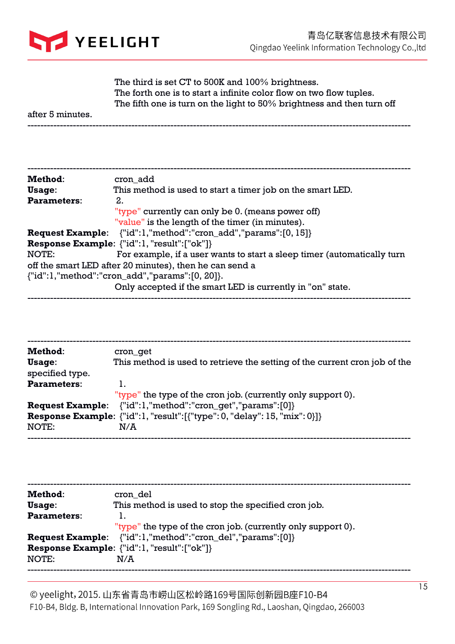

 The third is set CT to 500K and 100% brightness. The forth one is to start a infinite color flow on two flow tuples. The fifth one is turn on the light to 50% brightness and then turn off

after 5 minutes.

| Method:            | cron add                                                                |
|--------------------|-------------------------------------------------------------------------|
| Usage:             | This method is used to start a timer job on the smart LED.              |
| <b>Parameters:</b> | 2.                                                                      |
|                    | "type" currently can only be 0. (means power off)                       |
|                    | "value" is the length of the timer (in minutes).                        |
|                    | <b>Request Example:</b> {"id":1,"method":"cron_add","params":[0, 15]}   |
|                    | <b>Response Example:</b> {"id":1, "result": ["ok"]}                     |
| NOTE:              | For example, if a user wants to start a sleep timer (automatically turn |
|                    | off the smart LED after 20 minutes), then he can send a                 |
|                    | {"id":1,"method":"cron_add","params":[0, 20]}.                          |
|                    | Only accepted if the smart LED is currently in "on" state.              |
|                    |                                                                         |

| Method:                   | cron get                                                                          |
|---------------------------|-----------------------------------------------------------------------------------|
| Usage:<br>specified type. | This method is used to retrieve the setting of the current cron job of the        |
| <b>Parameters:</b>        | 1.                                                                                |
|                           | "type" the type of the cron job. (currently only support 0).                      |
| <b>Request Example:</b>   | {"id":1,"method":"cron_get","params":[0]}                                         |
|                           | <b>Response Example:</b> {"id":1, "result": [{"type": 0, "delay": 15, "mix": 0}]} |
| NOTE:                     | N/A                                                                               |
|                           |                                                                                   |

| Method:            | cron del                                                          |
|--------------------|-------------------------------------------------------------------|
| Usage:             | This method is used to stop the specified cron job.               |
| <b>Parameters:</b> | 1.                                                                |
|                    | "type" the type of the cron job. (currently only support 0).      |
|                    | <b>Request Example:</b> {"id":1,"method":"cron_del","params":[0]} |
|                    | <b>Response Example:</b> {"id":1, "result":["ok"]}                |
| NOTE:              | N/A                                                               |
|                    |                                                                   |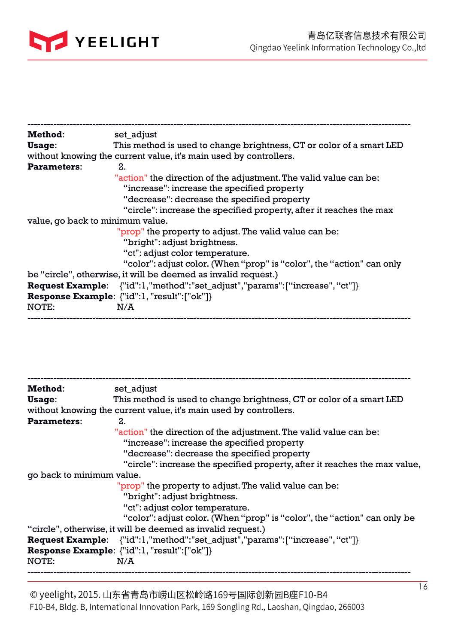

| Method:                          | set_adjust                                                                         |
|----------------------------------|------------------------------------------------------------------------------------|
| Usage:                           | This method is used to change brightness, CT or color of a smart LED               |
|                                  | without knowing the current value, it's main used by controllers.                  |
| <b>Parameters:</b>               | 2.                                                                                 |
|                                  | "action" the direction of the adjustment. The valid value can be:                  |
|                                  | "increase": increase the specified property                                        |
|                                  | "decrease": decrease the specified property                                        |
|                                  | "circle": increase the specified property, after it reaches the max                |
| value, go back to minimum value. |                                                                                    |
|                                  | "prop" the property to adjust. The valid value can be:                             |
|                                  | "bright": adjust brightness.                                                       |
|                                  | "ct": adjust color temperature.                                                    |
|                                  | "color": adjust color. (When "prop" is "color", the "action" can only              |
|                                  | be "circle", otherwise, it will be deemed as invalid request.)                     |
|                                  | <b>Request Example:</b> {"id":1,"method":"set_adjust","params":["increase", "ct"]} |
|                                  | Response Example: {"id":1, "result":["ok"]}                                        |
| NOTE:                            | N/A                                                                                |
|                                  |                                                                                    |

| Method:                   | set_adjust                                                                                                                                                                                            |
|---------------------------|-------------------------------------------------------------------------------------------------------------------------------------------------------------------------------------------------------|
| Usage:                    | This method is used to change brightness, CT or color of a smart LED                                                                                                                                  |
|                           | without knowing the current value, it's main used by controllers.                                                                                                                                     |
| <b>Parameters:</b>        | 2.                                                                                                                                                                                                    |
|                           | "action" the direction of the adjustment. The valid value can be:<br>"increase": increase the specified property                                                                                      |
|                           | "decrease": decrease the specified property                                                                                                                                                           |
|                           | "circle": increase the specified property, after it reaches the max value,                                                                                                                            |
| go back to minimum value. |                                                                                                                                                                                                       |
|                           | "prop" the property to adjust. The valid value can be:<br>"bright": adjust brightness.<br>"ct": adjust color temperature.<br>"color": adjust color. (When "prop" is "color", the "action" can only be |
|                           | "circle", otherwise, it will be deemed as invalid request.)                                                                                                                                           |
|                           | <b>Request Example:</b> {"id":1,"method":"set_adjust","params":["increase", "ct"]}<br><b>Response Example:</b> {"id":1, "result": ["ok"]}                                                             |
| NOTE:                     | N/A                                                                                                                                                                                                   |
|                           |                                                                                                                                                                                                       |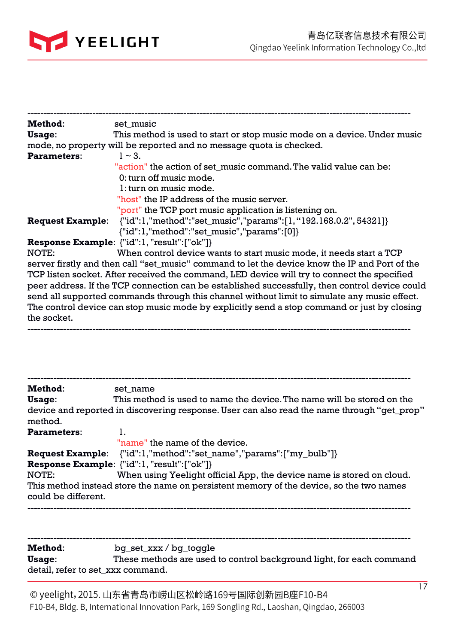

the socket.

| Method:                 | set music                                                                                      |
|-------------------------|------------------------------------------------------------------------------------------------|
| Usage:                  | This method is used to start or stop music mode on a device. Under music                       |
|                         | mode, no property will be reported and no message quota is checked.                            |
| <b>Parameters:</b>      | $1 - 3$ .                                                                                      |
|                         | "action" the action of set_music command. The valid value can be:                              |
|                         | 0: turn off music mode.                                                                        |
|                         | 1: turn on music mode.                                                                         |
|                         | "host" the IP address of the music server.                                                     |
|                         | "port" the TCP port music application is listening on.                                         |
| <b>Request Example:</b> | {"id":1,"method":"set_music","params":[1,"192.168.0.2", 54321]}                                |
|                         | ${''id":}1, "method":"set\_music", "params":[0]$                                               |
|                         | <b>Response Example:</b> {"id":1, "result": ["ok"]}                                            |
| NOTE:                   | When control device wants to start music mode, it needs start a TCP                            |
|                         | server firstly and then call "set_music" command to let the device know the IP and Port of the |
|                         | TCP listen socket. After received the command, LED device will try to connect the specified    |
|                         | peer address. If the TCP connection can be established successfully, then control device could |
|                         | send all supported commands through this channel without limit to simulate any music effect.   |
|                         | The control device can stop music mode by explicitly send a stop command or just by closing    |

| Method:             | set name                                                                                    |
|---------------------|---------------------------------------------------------------------------------------------|
| Usage:              | This method is used to name the device. The name will be stored on the                      |
| method.             | device and reported in discovering response. User can also read the name through "get_prop" |
| <b>Parameters:</b>  |                                                                                             |
|                     | "name" the name of the device.                                                              |
|                     | <b>Request Example:</b> {"id":1,"method":"set_name","params":["my_bulb"]}                   |
|                     | <b>Response Example:</b> {"id":1, "result":["ok"]}                                          |
| NOTE:               | When using Yeelight official App, the device name is stored on cloud.                       |
| could be different. | This method instead store the name on persistent memory of the device, so the two names     |
|                     |                                                                                             |

| Method:                           | bg_set_xxx / bg_toggle                                               |
|-----------------------------------|----------------------------------------------------------------------|
| Usage:                            | These methods are used to control background light, for each command |
| detail, refer to set_xxx command. |                                                                      |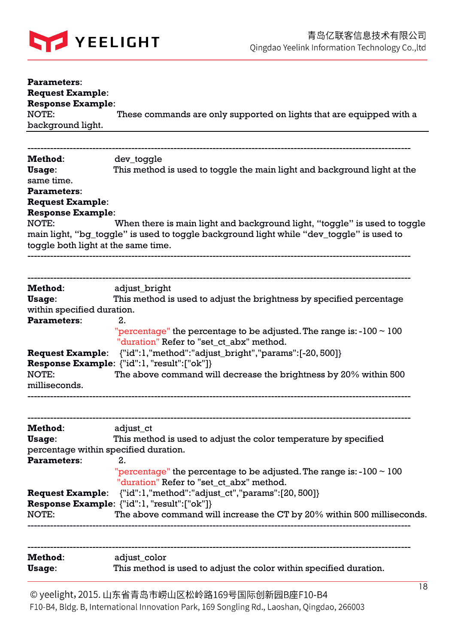

| <b>Parameters:</b><br><b>Request Example:</b><br><b>Response Example:</b>        |                                                                                                                                                                       |  |  |
|----------------------------------------------------------------------------------|-----------------------------------------------------------------------------------------------------------------------------------------------------------------------|--|--|
| NOTE:<br>background light.                                                       | These commands are only supported on lights that are equipped with a                                                                                                  |  |  |
|                                                                                  |                                                                                                                                                                       |  |  |
| Method:<br>Usage:<br>same time.<br><b>Parameters:</b><br><b>Request Example:</b> | dev_toggle<br>This method is used to toggle the main light and background light at the                                                                                |  |  |
| <b>Response Example:</b>                                                         |                                                                                                                                                                       |  |  |
| NOTE:<br>toggle both light at the same time.                                     | When there is main light and background light, "toggle" is used to toggle<br>main light, "bg_toggle" is used to toggle background light while "dev_toggle" is used to |  |  |
|                                                                                  |                                                                                                                                                                       |  |  |
| <b>Method:</b><br>Usage:<br>within specified duration.                           | adjust_bright<br>This method is used to adjust the brightness by specified percentage                                                                                 |  |  |
| <b>Parameters:</b>                                                               | 2.<br>"percentage" the percentage to be adjusted. The range is: $-100 \sim 100$<br>"duration" Refer to "set_ct_abx" method.                                           |  |  |
| <b>Request Example:</b>                                                          | {"id":1,"method":"adjust_bright","params":[-20, 500]}                                                                                                                 |  |  |
| NOTE:<br>milliseconds.                                                           | Response Example: {"id":1, "result":["ok"]}<br>The above command will decrease the brightness by 20% within 500                                                       |  |  |
|                                                                                  |                                                                                                                                                                       |  |  |
| Method:                                                                          | adjust_ct                                                                                                                                                             |  |  |
| Usage:<br>percentage within specified duration.                                  | This method is used to adjust the color temperature by specified                                                                                                      |  |  |
| <b>Parameters:</b>                                                               | 2.                                                                                                                                                                    |  |  |
|                                                                                  | "percentage" the percentage to be adjusted. The range is: $-100 \sim 100$<br>"duration" Refer to "set_ct_abx" method.                                                 |  |  |
|                                                                                  | <b>Request Example:</b> {"id":1,"method":"adjust_ct","params":[20, 500]}                                                                                              |  |  |
| NOTE:                                                                            | Response Example: {"id":1, "result":["ok"]}<br>The above command will increase the CT by 20% within 500 milliseconds.                                                 |  |  |
|                                                                                  |                                                                                                                                                                       |  |  |
| Method:<br>Usage:                                                                | adjust_color<br>This method is used to adjust the color within specified duration.                                                                                    |  |  |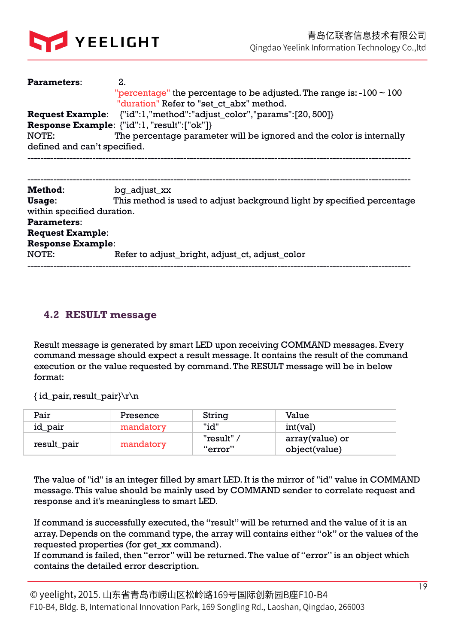

| <b>Parameters:</b>           | 2.                                                                          |
|------------------------------|-----------------------------------------------------------------------------|
|                              | "percentage" the percentage to be adjusted. The range is: $-100 \sim 100$   |
|                              | "duration" Refer to "set ct abx" method.                                    |
|                              | <b>Request Example:</b> {"id":1,"method":"adjust_color","params":[20, 500]} |
|                              | <b>Response Example:</b> {"id":1, "result": ["ok"]}                         |
| NOTE:                        | The percentage parameter will be ignored and the color is internally        |
| defined and can't specified. |                                                                             |
|                              |                                                                             |
|                              |                                                                             |
| Method:                      | bq_adjust_xx                                                                |
| Usage:                       | This method is used to adjust background light by specified percentage      |
| within specified duration.   |                                                                             |
| <b>Parameters:</b>           |                                                                             |
| <b>Request Example:</b>      |                                                                             |
| <b>Response Example:</b>     |                                                                             |
| NOTE:                        | Refer to adjust_bright, adjust_ct, adjust_color                             |
|                              |                                                                             |

### **4.2 RESULT message**

Result message is generated by smart LED upon receiving COMMAND messages. Every command message should expect a result message. It contains the result of the command execution or the value requested by command. The RESULT message will be in below format:

{ id\_pair, result\_pair}\r\n

| Pair        | Presence  | String                       | Value                            |
|-------------|-----------|------------------------------|----------------------------------|
| id_pair     | mandatory | "id"                         | int(val)                         |
| result_pair | mandatory | "result" $\prime$<br>"error" | array(value) or<br>object(value) |

The value of "id" is an integer filled by smart LED. It is the mirror of "id" value in COMMAND message. This value should be mainly used by COMMAND sender to correlate request and response and it's meaningless to smart LED.

If command is successfully executed, the "result" will be returned and the value of it is an array. Depends on the command type, the array will contains either "ok" or the values of the requested properties (for get\_xx command).

If command is failed, then "error" will be returned. The value of "error" is an object which contains the detailed error description.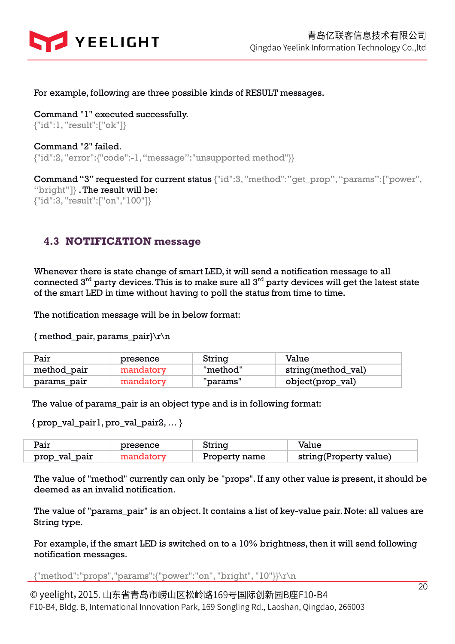

#### For example, following are three possible kinds of RESULT messages.

Command "1" executed successfully. {"id":1, "result":["ok"]}

Command "2" failed. {"id":2, "error":{"code":-1, "message":"unsupported method"}}

Command "3" requested for current status {"id":3, "method":"get\_prop", "params":["power", "bright"]} . The result will be:

{"id":3, "result":["on","100"]}

## **4.3 NOTIFICATION message**

Whenever there is state change of smart LED, it will send a notification message to all connected  $3<sup>rd</sup>$  party devices. This is to make sure all  $3<sup>rd</sup>$  party devices will get the latest state of the smart LED in time without having to poll the status from time to time.

The notification message will be in below format:

{ method\_pair, params\_pair}\r\n

| Pair        | presence  | String   | Value              |
|-------------|-----------|----------|--------------------|
| method_pair | mandatory | "method" | string(method_val) |
| params_pair | mandatory | "params" | object(prop_val)   |

The value of params\_pair is an object type and is in following format:

{ prop\_val\_pair1, pro\_val\_pair2, … }

| Pair          | presence | String        | Value                  |
|---------------|----------|---------------|------------------------|
| prop_val_pair |          | Property name | string(Property value) |

The value of "method" currently can only be "props". If any other value is present, it should be deemed as an invalid notification.

The value of "params\_pair" is an object. It contains a list of key-value pair. Note: all values are String type.

For example, if the smart LED is switched on to a 10% brightness, then it will send following notification messages.

{"method":"props","params":{"power":"on", "bright", "10"}}\r\n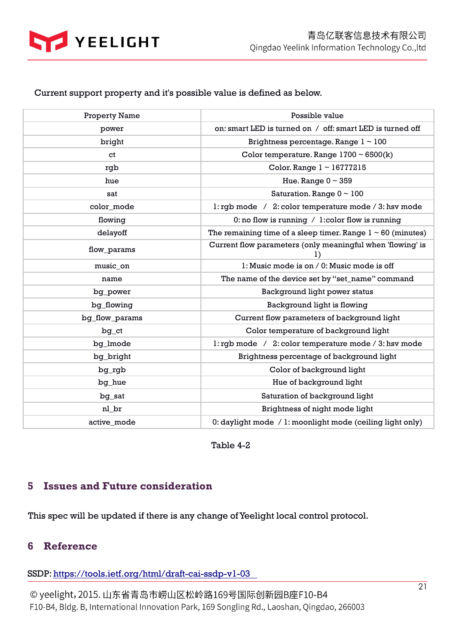

#### Current support property and it's possible value is defined as below.

| <b>Property Name</b> | Possible value                                                          |
|----------------------|-------------------------------------------------------------------------|
| power                | on: smart LED is turned on / off: smart LED is turned off               |
| bright               | Brightness percentage. Range $1 \sim 100$                               |
| ct                   | Color temperature. Range $1700 \sim 6500(k)$                            |
| rgb                  | Color. Range $1 \sim 16777215$                                          |
| hue                  | Hue. Range $0 \sim 359$                                                 |
| sat                  | Saturation. Range $0 \sim 100$                                          |
| color_mode           | 1: rgb mode / 2: color temperature mode / 3: hsv mode                   |
| flowing              | 0: no flow is running $/$ 1: color flow is running                      |
| delayoff             | The remaining time of a sleep timer. Range $1 \sim 60$ (minutes)        |
| flow_params          | Current flow parameters (only meaningful when 'flowing' is<br>$\bf{1)}$ |
| music_on             | 1: Music mode is on / 0: Music mode is off                              |
| name                 | The name of the device set by "set_name" command                        |
| bg_power             | Background light power status                                           |
| bg_flowing           | Background light is flowing                                             |
| bg_flow_params       | Current flow parameters of background light                             |
| $bg_c$               | Color temperature of background light                                   |
| bg_lmode             | 1: rgb mode / 2: color temperature mode / 3: hsv mode                   |
| bg_bright            | Brightness percentage of background light                               |
| bg_rgb               | Color of background light                                               |
| bg_hue               | Hue of background light                                                 |
| bg_sat               | Saturation of background light                                          |
| nl br                | Brightness of night mode light                                          |
| active_mode          | 0: daylight mode / 1: moonlight mode (ceiling light only)               |

Table 4-2

## **5 Issues and Future consideration**

This spec will be updated if there is any change of Yeelight local control protocol.

## **6 Reference**

SSDP: https://tools.ietf.org/html/draft-cai-ssdp-v1-03